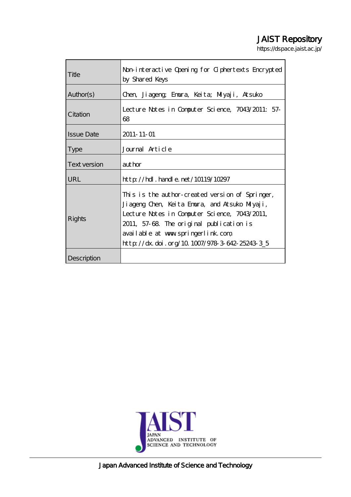# JAIST Repository

https://dspace.jaist.ac.jp/

| Title             | Non-interactive Opening for Giphertexts Encrypted |
|-------------------|---------------------------------------------------|
|                   | by Shared Keys                                    |
|                   |                                                   |
| Author(s)         | Chen, Jiageng; Emura, Keita; Miyaji, Atsuko       |
| Citation          |                                                   |
|                   | Lecture Notes in Computer Science, 7043/2011: 57- |
|                   | 68                                                |
|                   |                                                   |
| <b>Issue Date</b> | 2011-11-01                                        |
| <b>Type</b>       | Journal Article                                   |
|                   |                                                   |
| Text version      | author                                            |
| <b>URL</b>        | $http$ // $hdl$ . handle. net/10119/10297         |
| Rights            |                                                   |
|                   | This is the author-created version of Springer,   |
|                   | Jiageng Chen, Keita Emura, and Atsuko Miyaji,     |
|                   | Lecture Notes in Computer Science, 7043/2011,     |
|                   | 2011, 57-68. The original publication is          |
|                   | available at www.springerlink.com                 |
|                   | http://dx.doi.org/10.1007/978 3 642-25243 3_5     |
|                   |                                                   |
| Description       |                                                   |



Japan Advanced Institute of Science and Technology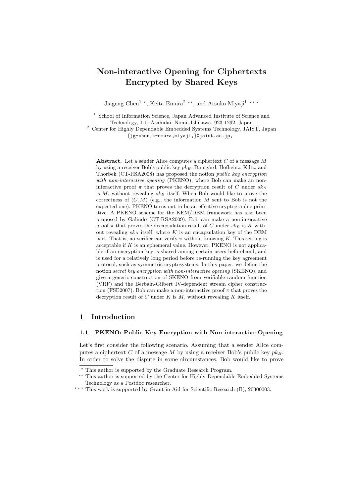## **Non-interactive Opening for Ciphertexts Encrypted by Shared Keys**

Jiageng Chen<sup>1</sup> <sup>\*</sup>, Keita Emura<sup>2</sup> <sup>\*\*</sup>, and Atsuko Miyaji<sup>1</sup> \*\*\*

<sup>1</sup> School of Information Science, Japan Advanced Institute of Science and Technology, 1-1, Asahidai, Nomi, Ishikawa, 923-1292, Japan

<sup>2</sup> Center for Highly Dependable Embedded Systems Technology, JAIST, Japan *{*jg-chen,k-emura,miyaji,*}*@jaist.ac.jp,

**Abstract.** Let a sender Alice computes a ciphertext *C* of a message *M* by using a receiver Bob's public key  $pk_B$ . Damgård, Hofheinz, Kiltz, and Thorbek (CT-RSA2008) has proposed the notion *public key encryption with non-interactive opening* (PKENO), where Bob can make an noninteractive proof  $\pi$  that proves the decryption result of *C* under  $sk_B$ is *M*, without revealing *sk<sup>B</sup>* itself. When Bob would like to prove the correctness of  $(C, M)$  (e.g., the information  $M$  sent to Bob is not the expected one), PKENO turns out to be an effective cryptographic primitive. A PKENO scheme for the KEM/DEM framework has also been proposed by Galindo (CT-RSA2009). Bob can make a non-interactive proof  $\pi$  that proves the decapsulation result of *C* under  $sk_B$  is *K* without revealing  $s k_B$  itself, where  $K$  is an encapsulation key of the DEM part. That is, no verifier can verify  $\pi$  without knowing *K*. This setting is acceptable if *K* is an ephemeral value. However, PKENO is not applicable if an encryption key is shared among certain users beforehand, and is used for a relatively long period before re-running the key agreement protocol, such as symmetric cryptosystems. In this paper, we define the notion *secret key encryption with non-interactive opening* (SKENO), and give a generic construction of SKENO from verifiable random function (VRF) and the Berbain-Gilbert IV-dependent stream cipher construction (FSE2007). Bob can make a non-interactive proof  $\pi$  that proves the decryption result of *C* under *K* is *M*, without revealing *K* itself.

## **1 Introduction**

## **1.1 PKENO: Public Key Encryption with Non-interactive Opening**

Let's first consider the following scenario. Assuming that a sender Alice computes a ciphertext *C* of a message *M* by using a receiver Bob's public key  $pk_B$ . In order to solve the dispute in some circumstances, Bob would like to prove

*<sup>⋆</sup>* This author is supported by the Graduate Research Program.

<sup>&</sup>lt;sup>\*\*</sup> This author is supported by the Center for Highly Dependable Embedded Systems Technology as a Postdoc researcher.

<sup>\*\*\*</sup> This work is supported by Grant-in-Aid for Scientific Research (B), 20300003.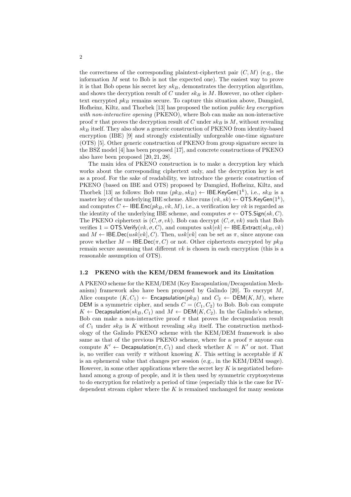the correctness of the corresponding plaintext-ciphertext pair  $(C, M)$  (e.g., the information *M* sent to Bob is not the expected one). The easiest way to prove it is that Bob opens his secret key *skB*, demonstrates the decryption algorithm, and shows the decryption result of *C* under *sk<sup>B</sup>* is *M*. However, no other ciphertext encrypted  $pk_B$  remains secure. To capture this situation above, Damgård, Hofheinz, Kiltz, and Thorbek [13] has proposed the notion *public key encryption with non-interactive opening* (PKENO), where Bob can make an non-interactive proof  $\pi$  that proves the decryption result of *C* under  $sk_B$  is *M*, without revealing *sk<sup>B</sup>* itself. They also show a generic construction of PKENO from identity-based encryption (IBE) [9] and strongly existentially unforgeable one-time signature (OTS) [5]. Other generic construction of PKENO from group signature secure in the BSZ model [4] has been proposed [17], and concrete constructions of PKENO also have been proposed [20, 21, 28].

The main idea of PKENO construction is to make a decryption key which works about the corresponding ciphertext only, and the decryption key is set as a proof. For the sake of readability, we introduce the generic construction of PKENO (based on IBE and OTS) proposed by Damgård, Hofheinz, Kiltz, and Thorbek [13] as follows: Bob runs  $(pk_B, sk_B) \leftarrow \mathsf{IBE}.\mathsf{KeyGen}(1^k), \text{ i.e., } sk_B \text{ is a}$ master key of the underlying IBE scheme. Alice runs  $(vk, sk) \leftarrow$  OTS.KeyGen(1<sup>k</sup>), and computes  $C \leftarrow \text{IBE}.\text{Enc}(pk_B, vk, M),$  i.e., a verification key *vk* is regarded as the identity of the underlying IBE scheme, and computes  $\sigma \leftarrow \text{OTS.Sign}(sk, C)$ . The PKENO ciphertext is  $(C, \sigma, vk)$ . Bob can decrypt  $(C, \sigma, vk)$  such that Bob verifies  $1 = \text{OTS.Verify}(vk, \sigma, C)$ , and computes  $usk[vk] \leftarrow \text{IBE.Extract}(sk_B, vk)$ and  $M \leftarrow \text{IEEEDec}(usk[vk], C)$ . Then,  $usk[vk]$  can be set as  $\pi$ , since anyone can prove whether  $M = \text{IEEEDec}(\pi, C)$  or not. Other ciphertexts encrypted by  $pk_B$ remain secure assuming that different *vk* is chosen in each encryption (this is a reasonable assumption of OTS).

#### **1.2 PKENO with the KEM/DEM framework and its Limitation**

A PKENO scheme for the KEM/DEM (Key Encapsulation/Decapsulation Mechanism) framework also have been proposed by Galindo [20]. To encrypt *M*, Alice compute  $(K, C_1) \leftarrow$  Encapsulation( $pk_B$ ) and  $C_2 \leftarrow$  DEM( $K, M$ ), where DEM is a symmetric cipher, and sends  $C = (C_1, C_2)$  to Bob. Bob can compute *K* ← Decapsulation( $sk_B$ ,  $C_1$ ) and  $M$  ← DEM( $K$ ,  $C_2$ ). In the Galindo's scheme, Bob can make a non-interactive proof  $\pi$  that proves the decupsulation result of  $C_1$  under  $s k_B$  is  $K$  without revealing  $s k_B$  itself. The construction methodology of the Galindo PKENO scheme with the KEM/DEM framework is also same as that of the previous PKENO scheme, where for a proof  $\pi$  anyone can compute  $K' \leftarrow$  Decapsulation( $\pi$ ,  $C_1$ ) and check whether  $K = K'$  or not. That is, no verifier can verify  $\pi$  without knowing *K*. This setting is acceptable if *K* is an ephemeral value that changes per session (e.g., in the KEM/DEM usage). However, in some other applications where the secret key *K* is negotiated beforehand among a group of people, and it is then used by symmetric cryptosystems to do encryption for relatively a period of time (especially this is the case for IVdependent stream cipher where the *K* is remained unchanged for many sessions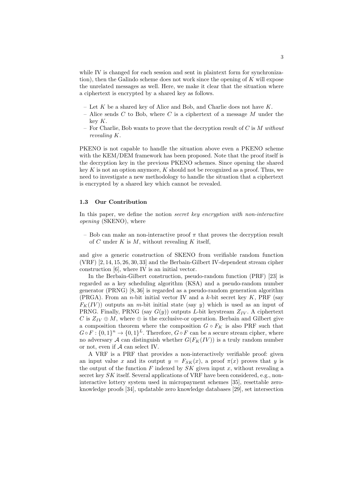while IV is changed for each session and sent in plaintext form for synchronization), then the Galindo scheme does not work since the opening of *K* will expose the unrelated messages as well. Here, we make it clear that the situation where a ciphertext is encrypted by a shared key as follows.

- Let *K* be a shared key of Alice and Bob, and Charlie does not have *K*.
- Alice sends *C* to Bob, where *C* is a ciphertext of a message *M* under the key *K*.
- For Charlie, Bob wants to prove that the decryption result of *C* is *M without revealing K*.

PKENO is not capable to handle the situation above even a PKENO scheme with the KEM/DEM framework has been proposed. Note that the proof itself is the decryption key in the previous PKENO schemes. Since opening the shared key *K* is not an option anymore, *K* should not be recognized as a proof. Thus, we need to investigate a new methodology to handle the situation that a ciphertext is encrypted by a shared key which cannot be revealed.

#### **1.3 Our Contribution**

In this paper, we define the notion *secret key encryption with non-interactive opening* (SKENO), where

– Bob can make an non-interactive proof  $\pi$  that proves the decryption result of *C* under *K* is *M*, without revealing *K* itself,

and give a generic construction of SKENO from verifiable random function (VRF) [2, 14, 15, 26, 30, 33] and the Berbain-Gilbert IV-dependent stream cipher construction [6], where IV is an initial vector.

In the Berbain-Gilbert construction, pseudo-random function (PRF) [23] is regarded as a key scheduling algorithm (KSA) and a pseudo-random number generator (PRNG) [8, 36] is regarded as a pseudo-random generation algorithm (PRGA). From an *n*-bit initial vector IV and a *k*-bit secret key *K*, PRF (say  $F_K(IV)$  outputs an *m*-bit initial state (say *y*) which is used as an input of PRNG. Finally, PRNG (say  $G(y)$ ) outputs *L*-bit keystream  $Z_{IV}$ . A ciphertext *C* is  $Z_{IV} \oplus M$ , where  $\oplus$  is the exclusive-or operation. Berbain and Gilbert give a composition theorem where the composition  $G \circ F_K$  is also PRF such that  $G \circ F : \{0,1\}^n \to \{0,1\}^L$ . Therefore,  $G \circ F$  can be a secure stream cipher, where no adversary *A* can distinguish whether  $G(F_K(V))$  is a truly random number or not, even if *A* can select IV.

A VRF is a PRF that provides a non-interactively verifiable proof: given an input value *x* and its output  $y = F_{SK}(x)$ , a proof  $\pi(x)$  proves that *y* is the output of the function  $F$  indexed by  $SK$  given input  $x$ , without revealing a secret key *SK* itself. Several applications of VRF have been considered, e.g., noninteractive lottery system used in micropayment schemes [35], resettable zeroknowledge proofs [34], updatable zero knowledge databases [29], set intersection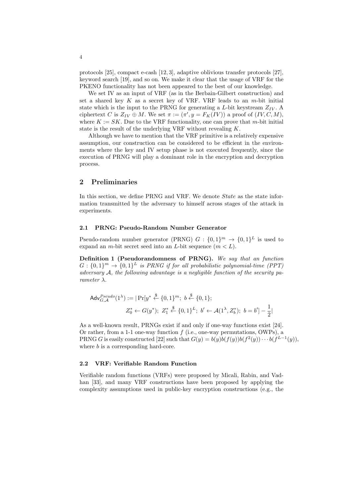protocols [25], compact e-cash [12, 3], adaptive oblivious transfer protocols [27], keyword search [19], and so on. We make it clear that the usage of VRF for the PKENO functionality has not been appeared to the best of our knowledge.

We set IV as an input of VRF (as in the Berbain-Gilbert construction) and set a shared key *K* as a secret key of VRF. VRF leads to an *m*-bit initial state which is the input to the PRNG for generating a *L*-bit keystream  $Z_{IV}$ . A ciphertext *C* is  $Z_{IV} \oplus M$ . We set  $\pi := (\pi', y = F_K(IV))$  a proof of  $(IV, C, M)$ , where  $K := SK$ . Due to the VRF functionality, one can prove that *m*-bit initial state is the result of the underlying VRF without revealing *K*.

Although we have to mention that the VRF primitive is a relatively expensive assumption, our construction can be considered to be efficient in the environments where the key and IV setup phase is not executed frequently, since the execution of PRNG will play a dominant role in the encryption and decryption process.

## **2 Preliminaries**

In this section, we define PRNG and VRF. We denote *State* as the state information transmitted by the adversary to himself across stages of the attack in experiments.

#### **2.1 PRNG: Pseudo-Random Number Generator**

Pseudo-random number generator (PRNG)  $G: \{0,1\}^m \to \{0,1\}^L$  is used to expand an *m*-bit secret seed into an *L*-bit sequence  $(m < L)$ .

**Definition 1 (Pseudorandomness of PRNG).** *We say that an function*  $G: \{0,1\}^m \rightarrow \{0,1\}^L$  *is PRNG if for all probabilistic polynomial-time (PPT) adversary A, the following advantage is a negligible function of the security parameter*  $\lambda$ *.* 

$$
\mathsf{Adv}_{G,\mathcal{A}}^{Pseudo}(1^{\lambda}) := |\Pr[y^* \stackrel{\$}{\leftarrow} \{0,1\}^m; \ b \stackrel{\$}{\leftarrow} \{0,1\};
$$
  

$$
Z_0^* \leftarrow G(y^*); \ Z_1^* \stackrel{\$}{\leftarrow} \{0,1\}^L; \ b' \leftarrow \mathcal{A}(1^{\lambda}, Z_0^*); \ b = b'] - \frac{1}{2}|\
$$

As a well-known result, PRNGs exist if and only if one-way functions exist [24]. Or rather, from a 1-1 one-way function *f* (i.e., one-way permutations, OWPs), a PRNG *G* is easily constructed [22] such that  $G(y) = b(y)b(f(y))b(f^2(y))\cdots b(f^{L-1}(y)),$ where *b* is a corresponding hard-core.

## **2.2 VRF: Verifiable Random Function**

Verifiable random functions (VRFs) were proposed by Micali, Rabin, and Vadhan [33], and many VRF constructions have been proposed by applying the complexity assumptions used in public-key encryption constructions (e.g., the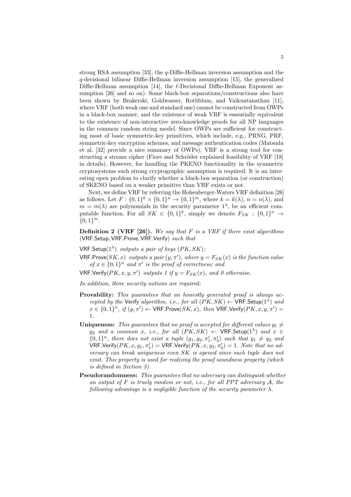strong RSA assumption [33], the *q*-Diffie-Hellman inversion assumption and the *q*-decisional bilinear Diffie-Hellman inversion assumption [15], the generalized Diffie-Hellman assumption [14], the *ℓ*-Decisional Diffie-Hellman Exponent assumption [26] and so on). Some black-box separations/constructions also have been shown by Brakerski, Goldwasser, Rothblum, and Vaikuntanathan [11], where VRF (both weak one and standard one) cannot be constructed from OWPs in a black-box manner, and the existence of weak VRF is essentially equivalent to the existence of non-interactive zero-knowledge proofs for all NP languages in the common random string model. Since OWPs are sufficient for constructing most of basic symmetric-key primitives, which include, e.g., PRNG, PRF, symmetric-key encryption schemes, and message authentication codes (Matsuda et al. [32] provide a nice summary of OWPs), VRF is a strong tool for constructing a stream cipher (Fiore and Schröder explained feasibility of VRF [18] in details). However, for handling the PKENO functionality in the symmetric cryptosystems such strong cryptographic assumption is required. It is an interesting open problem to clarify whether a black-box separation (or construction) of SKENO based on a weaker primitive than VRF exists or not.

Next, we define VRF by referring the Hohenberger-Waters VRF definition [26] as follows. Let  $F: \{0,1\}^k \times \{0,1\}^n \to \{0,1\}^m$ , where  $k = k(\lambda)$ ,  $n = n(\lambda)$ , and  $m = m(\lambda)$  are polynomials in the security parameter  $1^{\lambda}$ , be an efficient computable function. For all  $SK \in \{0,1\}^k$ , simply we denote  $F_{SK} : \{0,1\}^n \rightarrow$ *{*0*,* 1*} m*.

**Definition 2 (VRF [26]).** *We say that F is a VRF if there exist algorithms* (VRF*.*Setup*,* VRF*.*Prove*,* VRF*.*Verify) *such that*

- VRF*.*Setup(1*<sup>λ</sup>* ) *outputs a pair of keys* (*PK, SK*)*;*
- $VRF.Prove(SK, x)$  *outputs a pair*  $(y, \pi')$ *, where*  $y = F_{SK}(x)$  *is the function value of*  $x \in \{0,1\}^n$  *and*  $\pi'$  *is the proof of correctness; and*
- $VRF.Verify(PK, x, y, \pi')$  *outputs 1 if*  $y = F_{SK}(x)$ *, and 0 otherwise.*

*In addition, three security notions are required:*

- **Provability:** *This guarantees that an honestly generated proof is always accepted by the* Verify *algorithm, i.e., for all*  $(PK, SK) \leftarrow \text{VRF}$ . Setup( $1^{\lambda}$ ) *and*  $x \in \{0,1\}^n$ , if  $(y, \pi') \leftarrow \text{VRF.Prove}(SK, x)$ , then  $\text{VRF.Verify}(PK, x, y, \pi') =$ 1*.*
- **Uniqueness:** *This quarantees that no proof is accepted for different values*  $y_1 \neq$ *y*<sub>2</sub> *and a common x, i.e., for all*  $(PK, SK) \leftarrow \text{VRF}.\text{Setup}(1^{\lambda})$  *and*  $x \in$  $\{0,1\}$ <sup>n</sup>, there does not exist a tuple  $(y_1, y_2, \pi'_1, \pi'_2)$  such that  $y_1 \neq y_2$  and  $\mathsf{VRF}.\mathsf{Verify}(PK,x,y_1,\pi'_1) = \mathsf{VRF}.\mathsf{Verify}(PK,x,y_2,\pi'_2) = 1.$  Note that no ad*versary can break uniqueness even SK is opened since such tuple does not exist. This property is used for realizing the proof soundness property (which is defined in Section 3).*
- **Pseudorandomness:** *This guarantees that no adversary can distinguish whether an output of F is truely random or not, i.e., for all PPT adversary A, the following advantage is a negligible function of the security parameter*  $\lambda$ *.*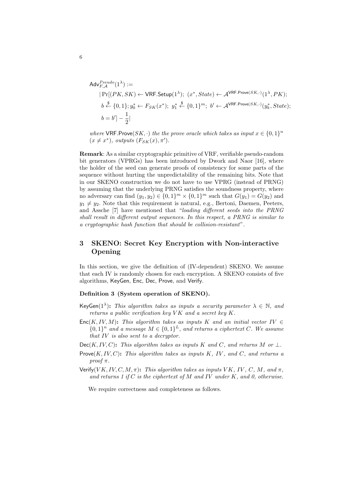$$
\begin{aligned} \mathsf{Adv}_{F,\mathcal{A}}^{Pseudo}(1^{\lambda}) &:= \\ & |\Pr[(PK,SK) \leftarrow \mathsf{VRF}.\mathsf{Setup}(1^{\lambda}); \ (x^*,State) \leftarrow \mathcal{A}^{\mathsf{VRF}.\mathsf{Prove}(SK,\cdot)}(1^{\lambda}, PK); \\ & b \stackrel{\$}{\leftarrow} \{0,1\}; y^*_0 \leftarrow F_{SK}(x^*); \ y^*_1 \stackrel{\$}{\leftarrow} \{0,1\}^m; \ b' \leftarrow \mathcal{A}^{\mathsf{VRF}.\mathsf{Prove}(SK,\cdot)}(y^*_b, State); \\ & b = b'] - \frac{1}{2} |\end{aligned}
$$

*where*  $VRF.Prove(SK, \cdot)$  *the the prove oracle which takes as input*  $x \in \{0, 1\}^n$  $(x \neq x^*)$ *, outputs*  $(F_{SK}(x), \pi')$ *.* 

**Remark**: As a similar cryptographic primitive of VRF, verifiable pseudo-random bit generators (VPRGs) has been introduced by Dwork and Naor [16], where the holder of the seed can generate proofs of consistency for some parts of the sequence without hurting the unpredictability of the remaining bits. Note that in our SKENO construction we do not have to use VPRG (instead of PRNG) by assuming that the underlying PRNG satisfies the soundness property, where no adversary can find  $(y_1, y_2) \in \{0, 1\}^m \times \{0, 1\}^m$  such that  $G(y_1) = G(y_2)$  and  $y_1 \neq y_2$ . Note that this requirement is natural, e.g., Bertoni, Daemen, Peeters, and Assche [7] have mentioned that "*loading different seeds into the PRNG shall result in different output sequences. In this respect, a PRNG is similar to a cryptographic hash function that should be collision-resistant*".

## **3 SKENO: Secret Key Encryption with Non-interactive Opening**

In this section, we give the definition of (IV-dependent) SKENO. We assume that each IV is randomly chosen for each encryption. A SKENO consists of five algorithms, KeyGen, Enc, Dec, Prove, and Verify.

## **Definition 3 (System operation of SKENO).**

- $KeyGen(1^{\lambda})$ : *This algorithm takes as inputs a security parameter*  $\lambda \in \mathbb{N}$ , and *returns a public verification key V K and a secret key K.*
- Enc $(K, IV, M)$ : *This algorithm takes as inputs K and an initial vector IV*  $\in$  ${0, 1}^n$  *and a message*  $M \in \{0, 1\}^L$ *, and returns a ciphertext C. We assume that IV is also sent to a decryptor.*
- $Dec(K, IV, C)$ : *This algorithm takes as inputs K and C*, *and returns M or*  $\perp$ *.*
- Prove(*K, IV, C*)**:** *This algorithm takes as inputs K, IV , and C, and returns a proof*  $\pi$ *.*
- Verify(*VK, IV, C, M,*  $\pi$ *)*: *This algorithm takes as inputs VK, IV, C, M, and*  $\pi$ *, and returns 1 if C is the ciphertext of M and IV under K, and 0, otherwise.*

We require correctness and completeness as follows.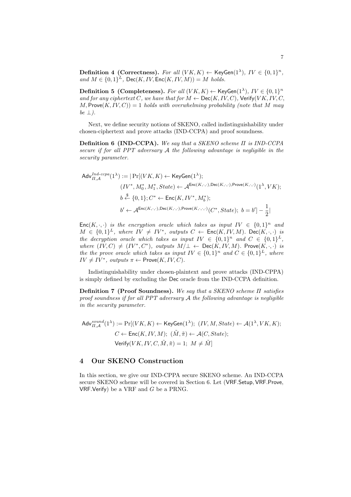**Definition 4 (Correctness).** For all  $(VK, K) \leftarrow \text{KeyGen}(1^{\lambda}), IV \in \{0, 1\}^n$ ,  $and M \in \{0,1\}^L$ ,  $Dec(K, IV, Enc(K, IV, M)) = M$  *holds.* 

**Definition 5 (Completeness).** For all  $(VK, K) \leftarrow$  KeyGen $(1^{\lambda})$ ,  $IV \in \{0, 1\}^n$ *and for any ciphertext C, we have that for*  $M \leftarrow \text{Dec}(K, IV, C)$ *,* Verify(*VK, IV, C,*  $M$ , Prove $(K, IV, C)$ ) = 1 *holds with overwhelming probability (note that*  $M$  *may be ⊥).*

Next, we define security notions of SKENO, called indistinguishability under chosen-ciphertext and prove attacks (IND-CCPA) and proof soundness.

**Definition 6 (IND-CCPA).** *We say that a SKENO scheme Π is IND-CCPA secure if for all PPT adversary A the following advantage is negligible in the security parameter.*

$$
\begin{aligned} \mathsf{Adv}_{H,\mathcal{A}}^{Ind\text{-}ccpa}(1^{\lambda}) := |\Pr[(VK, K) \leftarrow \mathsf{KeyGen}(1^{\lambda}); \\ & (IV^*, M_0^*, M_1^*, State) \leftarrow \mathcal{A}^{\mathsf{Enc}(K,\cdot,\cdot), \mathsf{Dec}(K,\cdot,\cdot), \mathsf{Prove}(K,\cdot,\cdot)}(1^{\lambda}, VK); \\ & b \stackrel{\$}{\leftarrow} \{0,1\}; C^* \leftarrow \mathsf{Enc}(K, IV^*, M_b^*); \\ & b' \leftarrow \mathcal{A}^{\mathsf{Enc}(K,\cdot,\cdot), \mathsf{Dec}(K,\cdot,\cdot), \mathsf{Prove}(K,\cdot,\cdot,\cdot)}(C^*, State); \ b = b'] - \frac{1}{2} |\end{aligned}
$$

Enc $(K, \cdot, \cdot)$  *is the encryption oracle which takes as input*  $IV \in \{0,1\}^n$  *and*  $M \in \{0,1\}^L$ , where  $IV \neq IV^*$ , outputs  $C \leftarrow \text{Enc}(K, IV, M)$ . Dec $(K, \cdot, \cdot)$  is *the decryption oracle which takes as input*  $IV \in \{0,1\}^n$  *and*  $C \in \{0,1\}^L$ *,*  $where (IV, C) \neq (IV^*, C^*)$ ,  $outputs M/\perp \leftarrow Dec(K, IV, M)$ . Prove $(K, \cdot, \cdot)$  *is the the prove oracle which takes as input*  $IV \in \{0,1\}^n$  and  $C \in \{0,1\}^L$ , where  $IV \neq IV^*$ , outputs  $\pi \leftarrow \textsf{Prove}(K, IV, C)$ *.* 

Indistinguishability under chosen-plaintext and prove attacks (IND-CPPA) is simply defined by excluding the Dec oracle from the IND-CCPA definition.

**Definition 7 (Proof Soundness).** *We say that a SKENO scheme Π satisfies proof soundness if for all PPT adversary A the following advantage is negligible in the security parameter.*

$$
\begin{aligned} \mathsf{Adv}_{\varPi,\mathcal{A}}^{sound}(1^{\lambda}) := \Pr[(VK, K) \leftarrow \mathsf{KeyGen}(1^{\lambda}); \ (IV, M, State) \leftarrow \mathcal{A}(1^{\lambda}, VK, K); \\ C \leftarrow \mathsf{Enc}(K, IV, M); \ (\tilde{M}, \tilde{\pi}) \leftarrow \mathcal{A}(C, State); \\ \mathsf{Verify}(VK, IV, C, \tilde{M}, \tilde{\pi}) = 1; \ M \neq \tilde{M}]\end{aligned}
$$

## **4 Our SKENO Construction**

In this section, we give our IND-CPPA secure SKENO scheme. An IND-CCPA secure SKENO scheme will be covered in Section 6. Let (VRF*.*Setup*,* VRF*.*Prove*,* VRF*.*Verify) be a VRF and *G* be a PRNG.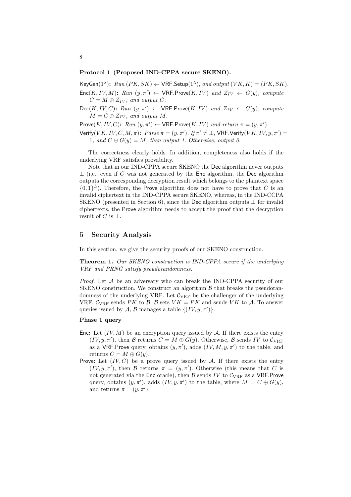#### **Protocol 1 (Proposed IND-CPPA secure SKENO).**

 $\mathsf{KeyGen}(1^{\lambda})$ :  $Run(PK, SK) \leftarrow \mathsf{VRF}$ . Setup $(1^{\lambda})$ *, and output*  $(VK, K) = (PK, SK)$ *.* 

 $Enc(K, IV, M)$ :  $Run (y, \pi') \leftarrow \text{VRF.Prove}(K, IV)$  and  $Z_{IV} \leftarrow G(y)$ , compute  $C = M \oplus Z_{IV}$ , and output *C*.

 $Dec(K, IV, C)$ :  $Run(y, \pi') \leftarrow \text{VRF.Prove}(K, IV)$  and  $Z_{IV} \leftarrow G(y)$ *, compute*  $M = C \oplus Z_{IV}$ , and output M.

 $\mathsf{Prove}(K, IV, C)$ :  $Run(y, \pi') \leftarrow \mathsf{VRF}$ .  $\mathsf{Prove}(K, IV)$  and  $return \pi = (y, \pi')$ .

 $\mathsf{Verify}(VK, IV, C, M, \pi);~~Parse~\pi = (y, \pi').~\mathit{If}~\pi' \neq \bot,~\mathsf{VRF}.\mathsf{Verify}(VK, IV, y, \pi') = \pi$ 1*, and*  $C \oplus G(y) = M$ *, then output 1. Otherwise, output 0.* 

The correctness clearly holds. In addition, completeness also holds if the underlying VRF satisfies provability.

Note that in our IND-CPPA secure SKENO the Dec algorithm never outputs *⊥* (i,e., even if *C* was not generated by the Enc algorithm, the Dec algorithm outputs the corresponding decryption result which belongs to the plaintext space  $\{0,1\}^L$ ). Therefore, the Prove algorithm does not have to prove that *C* is an invalid ciphertext in the IND-CPPA secure SKENO, whereas, in the IND-CCPA SKENO (presented in Section 6), since the Dec algorithm outputs *⊥* for invalid ciphertexts, the Prove algorithm needs to accept the proof that the decryption result of *C* is *⊥*.

## **5 Security Analysis**

In this section, we give the security proofs of our SKENO construction.

**Theorem 1.** *Our SKENO construction is IND-CPPA secure if the underlying VRF and PRNG satisfy pseudorandomness.*

*Proof.* Let *A* be an adversary who can break the IND-CPPA security of our SKENO construction. We construct an algorithm *B* that breaks the pseudorandomness of the underlying VRF. Let  $C_{\text{VRF}}$  be the challenger of the underlying VRF.  $C_{VRF}$  sends *PK* to *B*. *B* sets  $VK = PK$  and sends *VK* to *A*. To answer queries issued by *A*, *B* manages a table  $\{(IV, y, \pi')\}$ .

## **Phase 1 query**

- Enc: Let  $(IV, M)$  be an encryption query issued by  $A$ . If there exists the entry  $(V, y, \pi')$ , then *B* returns  $C = M \oplus G(y)$ . Otherwise, *B* sends *IV* to  $C_{\text{VRF}}$ as a VRF. Prove query, obtains  $(y, \pi')$ , adds  $(IV, M, y, \pi')$  to the table, and returns  $C = M \oplus G(y)$ .
- **Prove:** Let  $(IV, C)$  be a prove query issued by A. If there exists the entry  $(IV, y, \pi')$ , then *B* returns  $\pi = (y, \pi')$ . Otherwise (this means that *C* is not generated via the Enc oracle), then  $\beta$  sends *IV* to  $C_{VRF}$  as a VRF. Prove query, obtains  $(y, \pi')$ , adds  $(IV, y, \pi')$  to the table, where  $M = C \oplus G(y)$ , and returns  $\pi = (y, \pi')$ .

8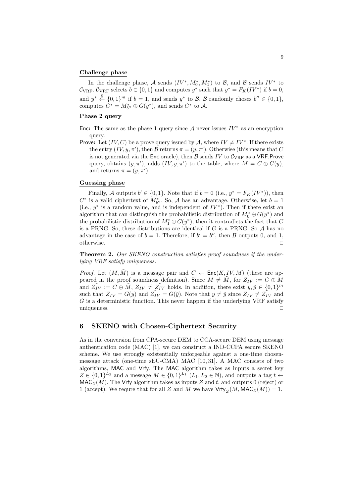#### **Challenge phase**

In the challenge phase,  $A$  sends  $(IV^*, M_0^*, M_1^*)$  to  $B$ , and  $B$  sends  $IV^*$  to  $\mathcal{C}_{\text{VRF}}$ .  $\mathcal{C}_{\text{VRF}}$  selects  $b \in \{0, 1\}$  and computes  $y^*$  such that  $y^* = F_K(IV^*)$  if  $b = 0$ , and  $y^* \stackrel{\$}{\leftarrow} \{0,1\}^m$  if  $b=1$ , and sends  $y^*$  to *B*. *B* randomly choses  $b'' \in \{0,1\}$ , computes  $C^* = M_{b''}^* \oplus G(y^*)$ , and sends  $C^*$  to A.

## **Phase 2 query**

Enc: The same as the phase 1 query since  $A$  never issues  $IV^*$  as an encryption query.

Prove: Let  $(IV, C)$  be a prove query issued by A, where  $IV \neq IV^*$ . If there exists the entry  $(IV, y, \pi')$ , then *B* returns  $\pi = (y, \pi')$ . Otherwise (this means that *C* is not generated via the Enc oracle), then  $\mathcal{B}$  sends *IV* to  $\mathcal{C}_{\text{VRF}}$  as a VRF. Prove query, obtains  $(y, \pi')$ , adds  $(IV, y, \pi')$  to the table, where  $M = C \oplus G(y)$ , and returns  $\pi = (y, \pi')$ .

## **Guessing phase**

Finally, *A* outputs  $b' \in \{0, 1\}$ . Note that if  $b = 0$  (i.e.,  $y^* = F_K(IV^*)$ ), then  $C^*$  is a valid ciphertext of  $M^*_{b''}$ . So, *A* has an advantage. Otherwise, let  $b = 1$ (i.e.,  $y^*$  is a random value, and is independent of  $IV^*$ ). Then if there exist an algorithm that can distinguish the probabilistic distribution of  $M_0^* \oplus G(y^*)$  and the probabilistic distribution of  $M_1^* \oplus G(y^*)$ , then it contradicts the fact that *G* is a PRNG. So, these distributions are identical if *G* is a PRNG. So *A* has no advantage in the case of  $b = 1$ . Therefore, if  $b' = b''$ , then *B* outputs 0, and 1, otherwise. *⊓⊔*

**Theorem 2.** *Our SKENO construction satisfies proof soundness if the underlying VRF satisfy uniqueness.*

*Proof.* Let  $(M, \tilde{M})$  is a message pair and  $C \leftarrow \text{Enc}(K, IV, M)$  (these are appeared in the proof soundness definition). Since  $M \neq M$ , for  $Z_{IV} := C \oplus M$ and  $\tilde{Z_{IV}} := C \oplus \tilde{M}$ ,  $Z_{IV} \neq \tilde{Z_{IV}}$  holds. In addition, there exist  $y, \tilde{y} \in \{0, 1\}^m$ such that  $Z_{IV} = G(y)$  and  $Z_{IV} = G(\tilde{y})$ . Note that  $y \neq \tilde{y}$  since  $Z_{IV} \neq Z_{IV}^*$  and *G* is a deterministic function. This never happen if the underlying VRF satisfy uniqueness. *⊓⊔*

## **6 SKENO with Chosen-Ciphertext Security**

As in the conversion from CPA-secure DEM to CCA-secure DEM using message authentication code (MAC) [1], we can construct a IND-CCPA secure SKENO scheme. We use strongly existentially unforgeable against a one-time chosenmessage attack (one-time sEU-CMA) MAC [10, 31]. A MAC consists of two algorithms, MAC and Vrfy. The MAC algorithm takes as inputs a secret key *Z* ∈ {0, 1}<sup>*L*2</sup> and a message  $M \in \{0, 1\}^{L_1}$  (*L*<sub>1</sub>*, L*<sub>2</sub> ∈ N), and outputs a tag *t* ←  $MAC_Z(M)$ . The Vrfy algorithm takes as inputs *Z* and *t*, and outputs 0 (reject) or 1 (accept). We requre that for all *Z* and *M* we have  $Vrfy_Z(M, MAC_Z(M)) = 1$ .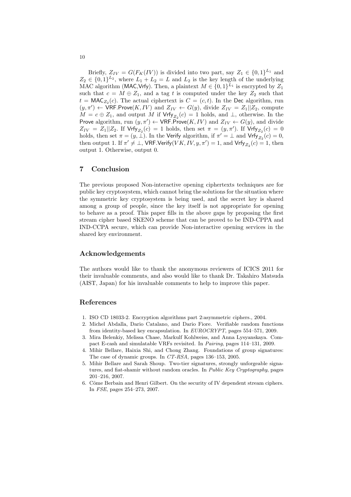Briefly,  $Z_{IV} = G(F_K(V))$  is divided into two part, say  $Z_1 \in \{0,1\}^{L_1}$  and  $Z_2 \in \{0,1\}^{L_2}$ , where  $L_1 + L_2 = L$  and  $L_2$  is the key length of the underlying MAC algorithm (MAC, Vrfy). Then, a plaintext  $M \in \{0,1\}^{L_1}$  is encrypted by  $Z_1$ such that  $c = M \oplus Z_1$ , and a tag *t* is computed under the key  $Z_2$  such that  $t = \text{MAC}_{Z_2}(c)$ . The actual ciphertext is  $C = (c, t)$ . In the Dec algorithm, run  $(y, \pi') \leftarrow \text{VRF.Prove}(K, IV)$  and  $Z_{IV} \leftarrow G(y)$ , divide  $Z_{IV} = Z_1 || Z_2$ , compute  $M = c \oplus Z_1$ , and output *M* if  $Vrfy_{Z_2}(c) = 1$  holds, and *⊥*, otherwise. In the Prove algorithm, run  $(y, \pi') \leftarrow \text{VRF.Prove}(K, IV)$  and  $Z_{IV} \leftarrow G(y)$ , and divide  $Z_{IV} = Z_1 || Z_2$ . If  $Vrfy_{Z_2}(c) = 1$  holds, then set  $\pi = (y, \pi')$ . If  $Vrfy_{Z_2}(c) = 0$ holds, then set  $\pi = (y, \perp)$ . In the Verify algorithm, if  $\pi' = \perp$  and Vrfy<sub>Z<sub>2</sub></sub> $(c) = 0$ , then output 1. If  $\pi' \neq \bot$ ,  $\mathsf{VRF}.\mathsf{Verify}(VK, IV, y, \pi') = 1$ , and  $\mathsf{Vrfy}_{Z_2}(c) = 1$ , then output 1. Otherwise, output 0.

## **7 Conclusion**

The previous proposed Non-interactive opening ciphertexts techniques are for public key cryptosystem, which cannot bring the solutions for the situation where the symmetric key cryptosystem is being used, and the secret key is shared among a group of people, since the key itself is not appropriate for opening to behave as a proof. This paper fills in the above gaps by proposing the first stream cipher based SKENO scheme that can be proved to be IND-CPPA and IND-CCPA secure, which can provide Non-interactive opening services in the shared key environment.

## **Acknowledgements**

The authors would like to thank the anonymous reviewers of ICICS 2011 for their invaluable comments, and also would like to thank Dr. Takahiro Matsuda (AIST, Japan) for his invaluable comments to help to improve this paper.

## **References**

- 1. ISO CD 18033-2. Encryption algorithms part 2:asymmetric ciphers., 2004.
- 2. Michel Abdalla, Dario Catalano, and Dario Fiore. Verifiable random functions from identity-based key encapsulation. In *EUROCRYPT*, pages 554–571, 2009.
- 3. Mira Belenkiy, Melissa Chase, Markulf Kohlweiss, and Anna Lysyanskaya. Compact E-cash and simulatable VRFs revisited. In *Pairing*, pages 114–131, 2009.
- 4. Mihir Bellare, Haixia Shi, and Chong Zhang. Foundations of group signatures: The case of dynamic groups. In *CT-RSA*, pages 136–153, 2005.
- 5. Mihir Bellare and Sarah Shoup. Two-tier signatures, strongly unforgeable signatures, and fiat-shamir without random oracles. In *Public Key Cryptography*, pages 201–216, 2007.
- 6. Côme Berbain and Henri Gilbert. On the security of IV dependent stream ciphers. In *FSE*, pages 254–273, 2007.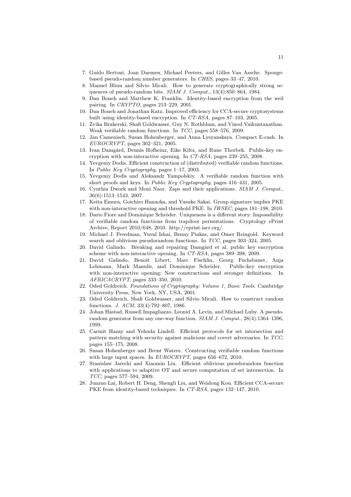- 7. Guido Bertoni, Joan Daemen, Michael Peeters, and Gilles Van Assche. Spongebased pseudo-random number generators. In *CHES*, pages 33–47, 2010.
- 8. Manuel Blum and Silvio Micali. How to generate cryptographically strong sequences of pseudo-random bits. *SIAM J. Comput.*, 13(4):850–864, 1984.
- 9. Dan Boneh and Matthew K. Franklin. Identity-based encryption from the weil pairing. In *CRYPTO*, pages 213–229, 2001.
- 10. Dan Boneh and Jonathan Katz. Improved efficiency for CCA-secure cryptosystems built using identity-based encryption. In *CT-RSA*, pages 87–103, 2005.
- 11. Zvika Brakerski, Shafi Goldwasser, Guy N. Rothblum, and Vinod Vaikuntanathan. Weak verifiable random functions. In *TCC*, pages 558–576, 2009.
- 12. Jan Camenisch, Susan Hohenberger, and Anna Lysyanskaya. Compact E-cash. In *EUROCRYPT*, pages 302–321, 2005.
- 13. Ivan Damgård, Dennis Hofheinz, Eike Kiltz, and Rune Thorbek. Public-key encryption with non-interactive opening. In *CT-RSA*, pages 239–255, 2008.
- 14. Yevgeniy Dodis. Efficient construction of (distributed) verifiable random functions. In *Public Key Cryptography*, pages 1–17, 2003.
- 15. Yevgeniy Dodis and Aleksandr Yampolskiy. A verifiable random function with short proofs and keys. In *Public Key Cryptography*, pages 416–431, 2005.
- 16. Cynthia Dwork and Moni Naor. Zaps and their applications. *SIAM J. Comput.*, 36(6):1513–1543, 2007.
- 17. Keita Emura, Goichiro Hanaoka, and Yusuke Sakai. Group signature implies PKE with non-interactive opening and threshold PKE. In *IWSEC*, pages 181–198, 2010.
- 18. Dario Fiore and Dominique Schröder. Uniqueness is a different story: Impossibility of verifiable random functions from trapdoor permutations. Cryptology ePrint Archive, Report 2010/648, 2010. http://eprint.iacr.org/.
- 19. Michael J. Freedman, Yuval Ishai, Benny Pinkas, and Omer Reingold. Keyword search and oblivious pseudorandom functions. In *TCC*, pages 303–324, 2005.
- 20. David Galindo. Breaking and repairing Damgård et al. public key encryption scheme with non-interactive opening. In *CT-RSA*, pages 389–398, 2009.
- 21. David Galindo, Benoît Libert, Marc Fischlin, Georg Fuchsbauer, Anja Lehmann, Mark Manulis, and Dominique Schröder. Public-key encryption with non-interactive opening: New constructions and stronger definitions. In *AFRICACRYPT*, pages 333–350, 2010.
- 22. Oded Goldreich. *Foundations of Cryptography: Volume 1, Basic Tools*. Cambridge University Press, New York, NY, USA, 2001.
- 23. Oded Goldreich, Shafi Goldwasser, and Silvio Micali. How to construct random functions. *J. ACM*, 33(4):792–807, 1986.
- 24. Johan Håstad, Russell Impagliazzo, Leonid A. Levin, and Michael Luby. A pseudorandom generator from any one-way function. *SIAM J. Comput.*, 28(4):1364–1396, 1999.
- 25. Carmit Hazay and Yehuda Lindell. Efficient protocols for set intersection and pattern matching with security against malicious and covert adversaries. In *TCC*, pages 155–175, 2008.
- 26. Susan Hohenberger and Brent Waters. Constructing verifiable random functions with large input spaces. In *EUROCRYPT*, pages 656–672, 2010.
- 27. Stanislaw Jarecki and Xiaomin Liu. Efficient oblivious pseudorandom function with applications to adaptive OT and secure computation of set intersection. In *TCC*, pages 577–594, 2009.
- 28. Junzuo Lai, Robert H. Deng, Shengli Liu, and Weidong Kou. Efficient CCA-secure PKE from identity-based techniques. In *CT-RSA*, pages 132–147, 2010.